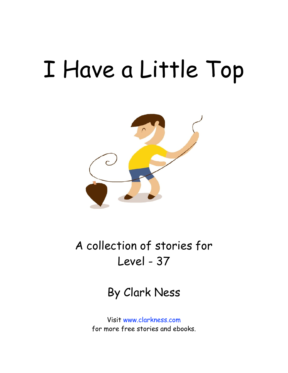# I Have a Little Top



A collection of stories for Level - 37

By Clark Ness

Visit [www.clarkness.com](http://www.clarkness.com) for more free stories and ebooks.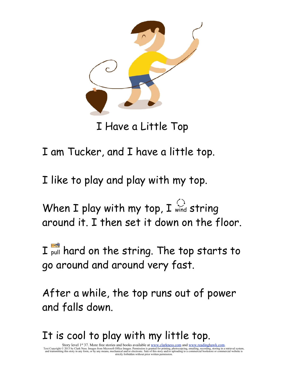

I Have a Little Top

I am Tucker, and I have a little top.

I like to play and play with my top.

When I play with my top, I  $\bigcirc$  string around it. I then set it down on the floor.

I pull hard on the string. The top starts to go around and around very fast.

After a while, the top runs out of power and falls down.

### It is cool to play with my little top.

Story level 1<sup>st</sup> 37. More free stories and books available at <u>www.clarkness.com</u> and <u>www.readinghawk.com</u>.<br>Text Copyright © 2013 by Clark Ness. Images from Microsoft Office Images. Permission is granted for printing, p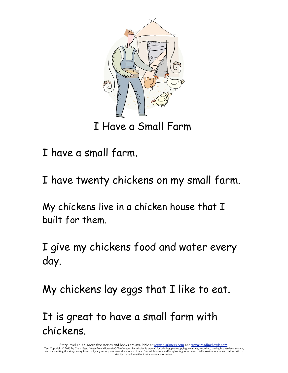

I have a small farm.

I have twenty chickens on my small farm.

My chickens live in a chicken house that I built for them.

I give my chickens food and water every day.

My chickens lay eggs that I like to eat.

It is great to have a small farm with chickens.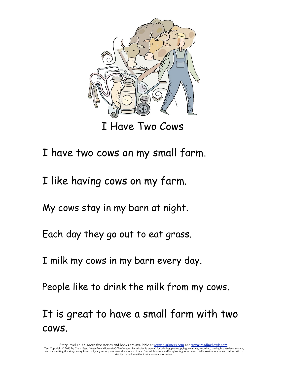

I Have Two Cows

I have two cows on my small farm.

I like having cows on my farm.

My cows stay in my barn at night.

Each day they go out to eat grass.

I milk my cows in my barn every day.

People like to drink the milk from my cows.

It is great to have a small farm with two cows.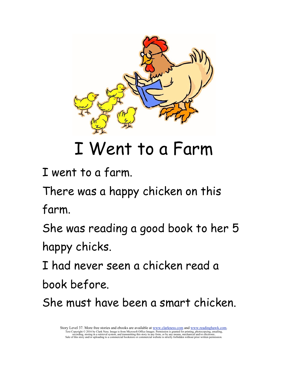

## I Went to a Farm

I went to a farm.

There was a happy chicken on this farm.

She was reading a good book to her 5 happy chicks.

I had never seen a chicken read a

book before.

She must have been a smart chicken.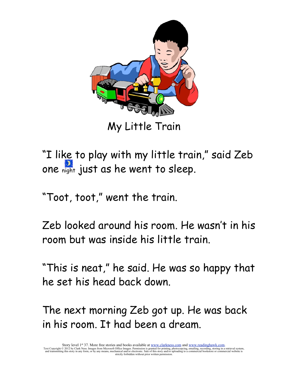

My Little Train

"I like to play with my little train," said Zeb one night just as he went to sleep.

"Toot, toot," went the train.

Zeb looked around his room. He wasn't in his room but was inside his little train.

"This is neat," he said. He was so happy that he set his head back down.

The next morning Zeb got up. He was back in his room. It had been a dream.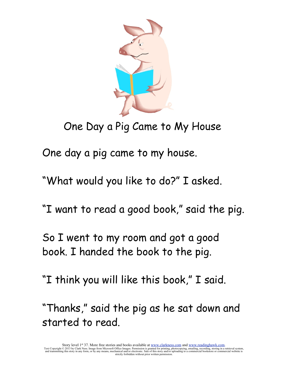

### One Day a Pig Came to My House

One day a pig came to my house.

"What would you like to do?" I asked.

"I want to read a good book," said the pig.

So I went to my room and got a good book. I handed the book to the pig.

"I think you will like this book," I said.

"Thanks," said the pig as he sat down and started to read.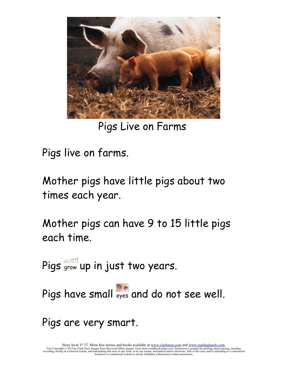

Pigs Live on Farms

Pigs live on farms.

Mother pigs have little pigs about two times each year.

Mother pigs can have 9 to 15 little pigs each time.

Pigs grow up in just two years.

Pigs have small eyes and do not see well.

Pigs are very smart.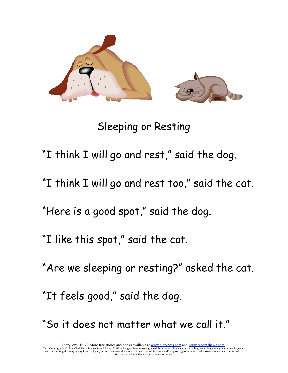

Sleeping or Resting

"I think I will go and rest," said the dog.

"I think I will go and rest too," said the cat.

"Here is a good spot," said the dog.

"I like this spot," said the cat.

"Are we sleeping or resting?" asked the cat.

"It feels good," said the dog.

"So it does not matter what we call it."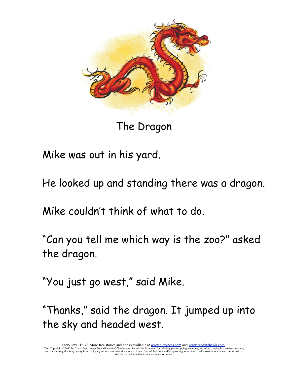

The Dragon

Mike was out in his yard.

He looked up and standing there was a dragon.

Mike couldn't think of what to do.

"Can you tell me which way is the zoo?" asked the dragon.

"You just go west," said Mike.

"Thanks," said the dragon. It jumped up into the sky and headed west.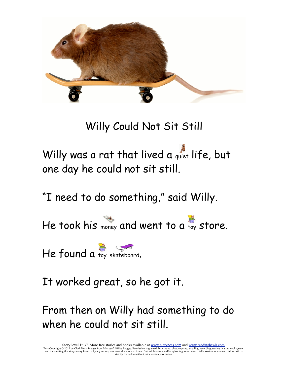

#### Willy Could Not Sit Still

Willy was a rat that lived a quiet life, but one day he could not sit still.

"I need to do something," said Willy.

He took his money and went to a toy store.

He found a toy skateboard.

It worked great, so he got it.

From then on Willy had something to do when he could not sit still.